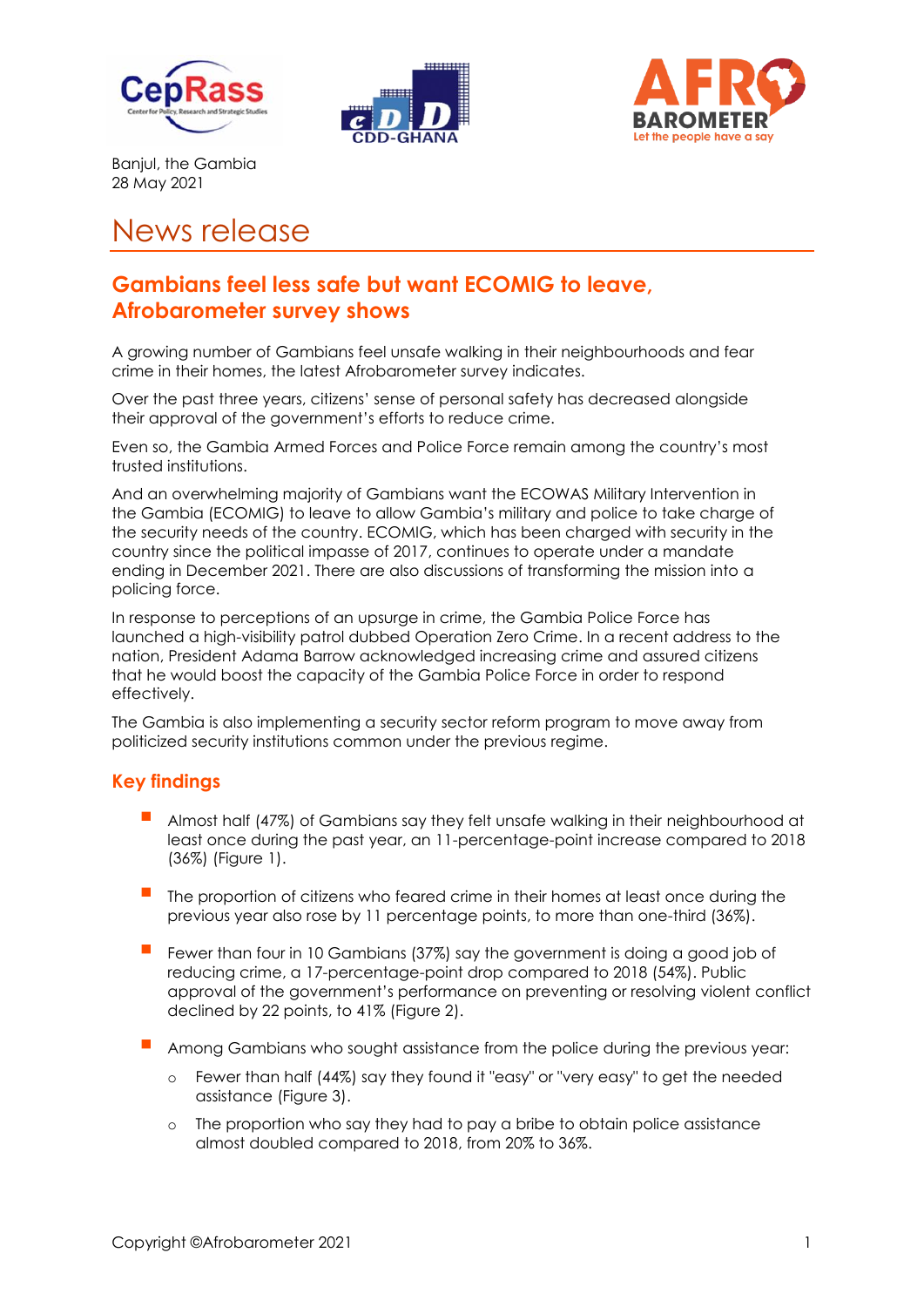





Banjul, the Gambia 28 May 2021

# News release

## **Gambians feel less safe but want ECOMIG to leave, Afrobarometer survey shows**

A growing number of Gambians feel unsafe walking in their neighbourhoods and fear crime in their homes, the latest Afrobarometer survey indicates.

Over the past three years, citizens' sense of personal safety has decreased alongside their approval of the government's efforts to reduce crime.

Even so, the Gambia Armed Forces and Police Force remain among the country's most trusted institutions.

And an overwhelming majority of Gambians want the ECOWAS Military Intervention in the Gambia (ECOMIG) to leave to allow Gambia's military and police to take charge of the security needs of the country. ECOMIG, which has been charged with security in the country since the political impasse of 2017, continues to operate under a mandate ending in December 2021. There are also discussions of transforming the mission into a policing force.

In response to perceptions of an upsurge in crime, the Gambia Police Force has launched a high-visibility patrol dubbed Operation Zero Crime. In a recent address to the nation, President Adama Barrow acknowledged increasing crime and assured citizens that he would boost the capacity of the Gambia Police Force in order to respond effectively.

The Gambia is also implementing a security sector reform program to move away from politicized security institutions common under the previous regime.

#### **Key findings**

- Almost half (47%) of Gambians say they felt unsafe walking in their neighbourhood at least once during the past year, an 11-percentage-point increase compared to 2018 (36%) (Figure 1).
- The proportion of citizens who feared crime in their homes at least once during the previous year also rose by 11 percentage points, to more than one-third (36%).
- Fewer than four in 10 Gambians (37%) say the government is doing a good job of reducing crime, a 17-percentage-point drop compared to 2018 (54%). Public approval of the government's performance on preventing or resolving violent conflict declined by 22 points, to 41% (Figure 2).
- Among Gambians who sought assistance from the police during the previous year:
	- o Fewer than half (44%) say they found it "easy" or "very easy" to get the needed assistance (Figure 3).
	- o The proportion who say they had to pay a bribe to obtain police assistance almost doubled compared to 2018, from 20% to 36%.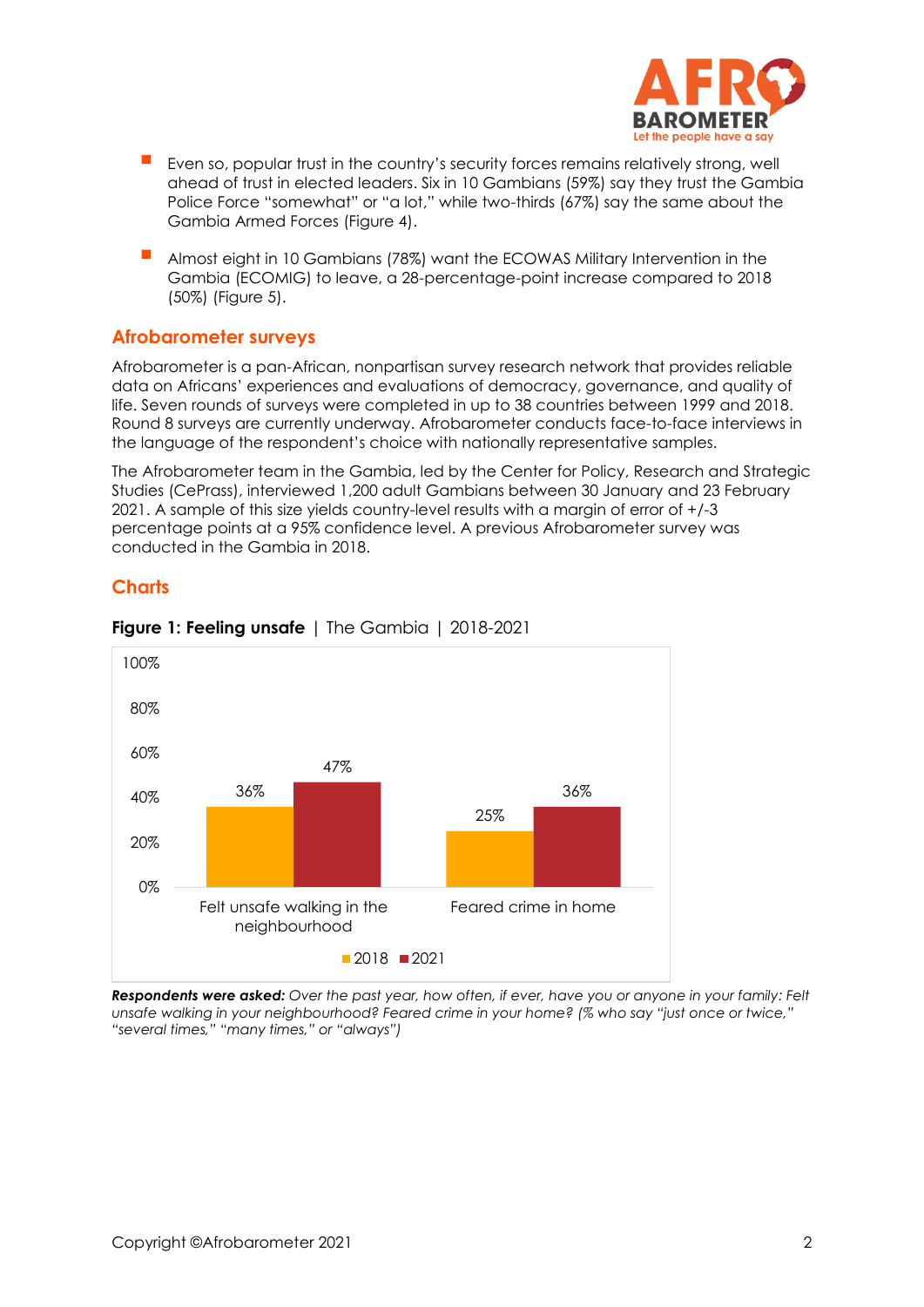

- Even so, popular trust in the country's security forces remains relatively strong, well ahead of trust in elected leaders. Six in 10 Gambians (59%) say they trust the Gambia Police Force "somewhat" or "a lot," while two-thirds (67%) say the same about the Gambia Armed Forces (Figure 4).
- Almost eight in 10 Gambians (78%) want the ECOWAS Military Intervention in the Gambia (ECOMIG) to leave, a 28-percentage-point increase compared to 2018 (50%) (Figure 5).

### **Afrobarometer surveys**

Afrobarometer is a pan-African, nonpartisan survey research network that provides reliable data on Africans' experiences and evaluations of democracy, governance, and quality of life. Seven rounds of surveys were completed in up to 38 countries between 1999 and 2018. Round 8 surveys are currently underway. Afrobarometer conducts face-to-face interviews in the language of the respondent's choice with nationally representative samples.

The Afrobarometer team in the Gambia, led by the Center for Policy, Research and Strategic Studies (CePrass), interviewed 1,200 adult Gambians between 30 January and 23 February 2021. A sample of this size yields country-level results with a margin of error of +/-3 percentage points at a 95% confidence level. A previous Afrobarometer survey was conducted in the Gambia in 2018.

### **Charts**



#### **Figure 1: Feeling unsafe** | The Gambia | 2018-2021

*Respondents were asked: Over the past year, how often, if ever, have you or anyone in your family: Felt unsafe walking in your neighbourhood? Feared crime in your home? (% who say "just once or twice," "several times," "many times," or "always")*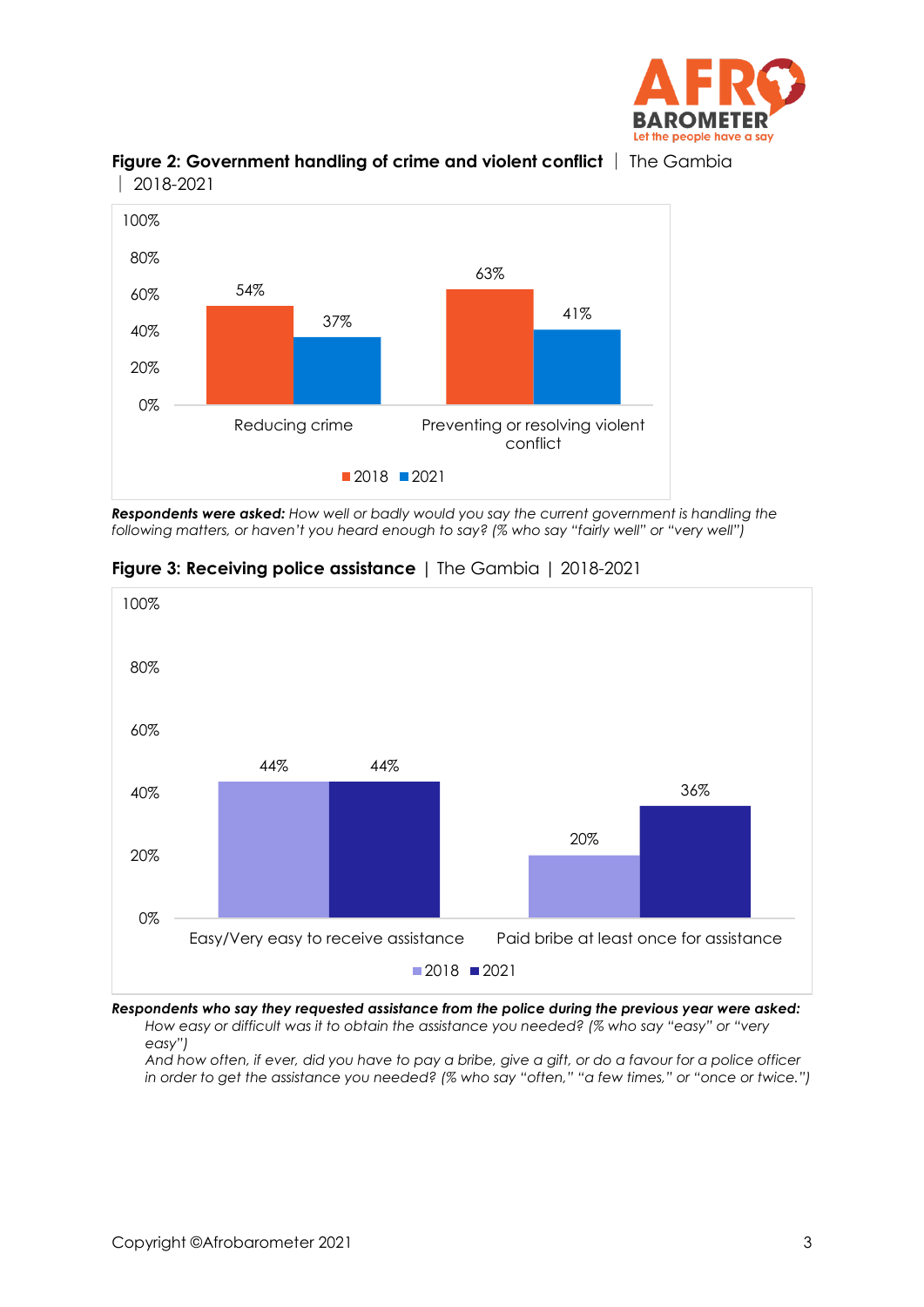



**Figure 2: Government handling of crime and violent conflict** │ The Gambia │ 2018-2021

*Respondents were asked: How well or badly would you say the current government is handling the following matters, or haven't you heard enough to say? (% who say "fairly well" or "very well")*



#### **Figure 3: Receiving police assistance** | The Gambia | 2018-2021

*Respondents who say they requested assistance from the police during the previous year were asked: How easy or difficult was it to obtain the assistance you needed? (% who say "easy" or "very* 

*easy")*

*And how often, if ever, did you have to pay a bribe, give a gift, or do a favour for a police officer in order to get the assistance you needed? (% who say "often," "a few times," or "once or twice.")*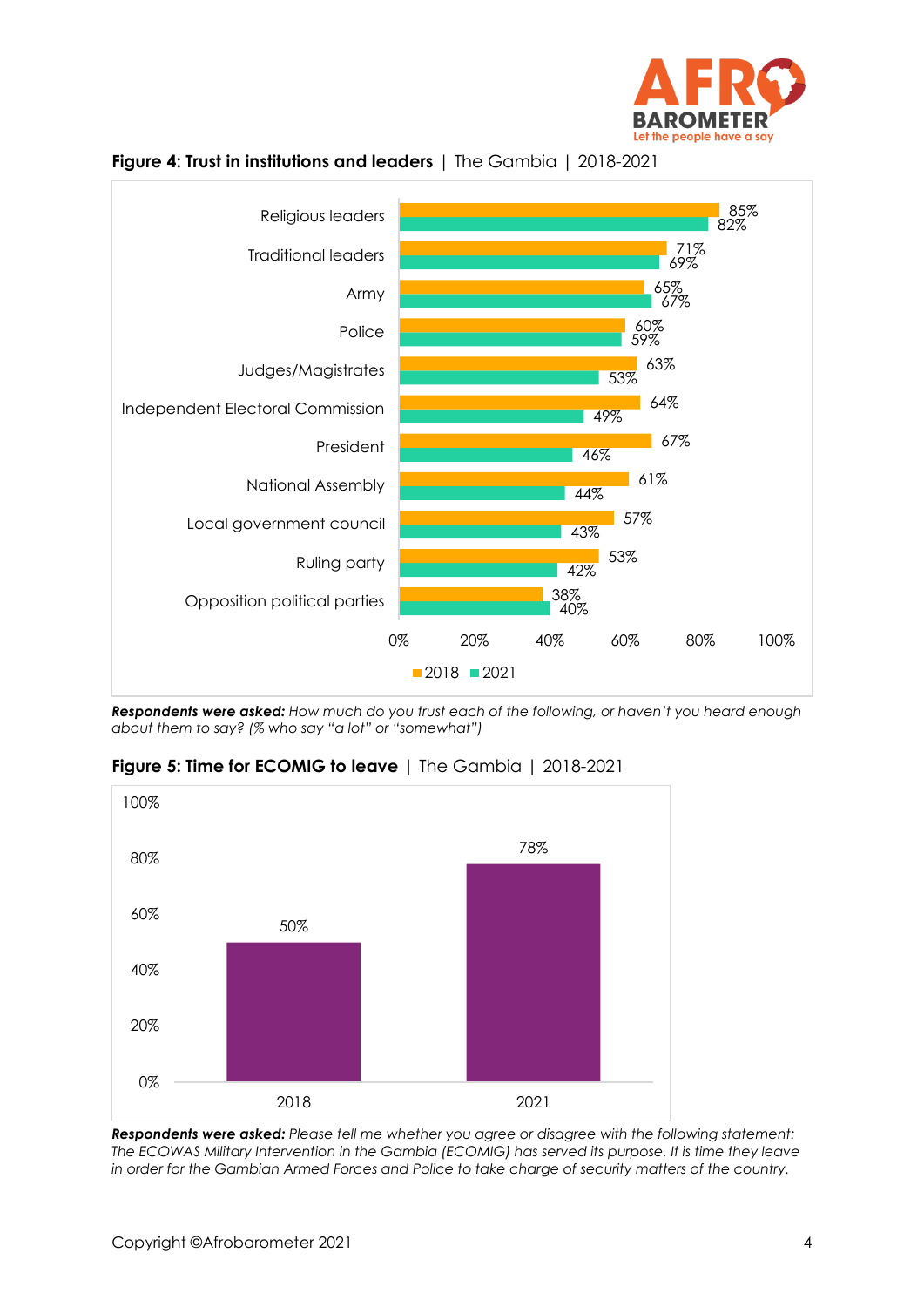





*Respondents were asked: How much do you trust each of the following, or haven't you heard enough about them to say? (% who say "a lot" or "somewhat")*



**Figure 5: Time for ECOMIG to leave** | The Gambia | 2018-2021

*Respondents were asked: Please tell me whether you agree or disagree with the following statement: The ECOWAS Military Intervention in the Gambia (ECOMIG) has served its purpose. It is time they leave in order for the Gambian Armed Forces and Police to take charge of security matters of the country.*